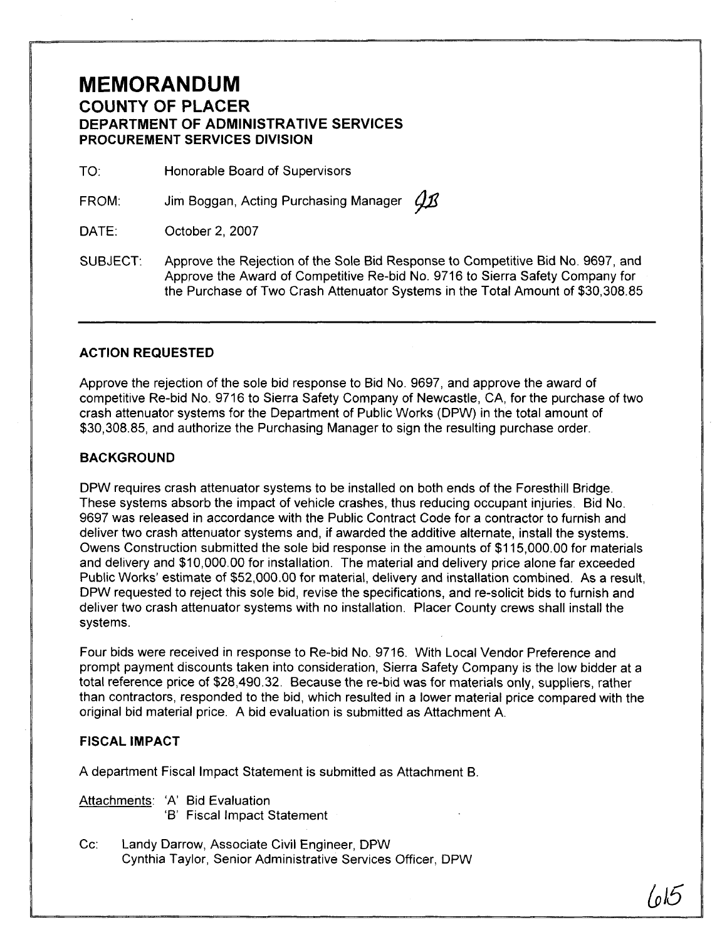## **MEMORANDUM COUNTY OF PLACER DEPARTMENT OF ADMINISTRATIVE SERVICES PROCUREMENT SERVICES DIVISION**

TO: Honorable Board of Supervisors

FROM: Jim Boggan, Acting Purchasing Manager *Q1*3

DATE: October 2, 2007

SUBJECT: Approve the Rejection of the Sole Bid Response to Competitive Bid No. 9697, and Approve the Award of Competitive Re-bid No. 9716 to Sierra Safety Company for the Purchase of Two Crash Attenuator Systems in the Total Amount of \$30,308.85

### **ACTION REQUESTED**

Approve the rejection of the sole bid response to Bid No 9697, and approve the award of competitive Re-bid No. 9716 to Sierra Safety Company of Newcastle, CA, for the purchase of two crash attenuator systems for the Department of Public Works (DPW) in the total amount of \$30,308.85, and authorize the Purchasing Manager to sign the resulting purchase order.

### **BACKGROUND**

DPW requires crash attenuator systems to be installed on both ends of the Foresthill Bridge. These systems absorb the impact of vehicle crashes, thus reducing occupant injuries. Bid No. 9697 was released in accordance with the Public Contract Code for a contractor to furnish and deliver two crash attenuator systems and, if awarded the additive alternate, install the systems. Owens Construction submitted the sole bid response in the amounts of \$1 15,000.00 for materials and delivery and \$10,000.00 for installation. The material and delivery price alone far exceeded Public Works' estimate of \$52,000.00 for material, delivery and installation combined. As a result, DPW requested to reject this sole bid, revise the specifications, and re-solicit bids to furnish and deliver two crash attenuator systems with no installation. Placer County crews shall install the systems.

Four bids were received in response to Re-bid No. 9716. With Local Vendor Preference and prompt payment discounts taken into consideration, Sierra Safety Company is the low bidder at a total reference price of \$28,490.32. Because the re-bid was for materials only, suppliers, rather than contractors, responded to the bid, which resulted in a lower material price compared with the original bid material price. A bid evaluation is submitted as Attachment A.

### **FISCAL IMPACT**

A department Fiscal Impact Statement is submitted as Attachment B.

Attachments. 'A' Bid Evaluation

- '6' Fiscal Impact Statement
- Cc: Landy Darrow, Associate Civil Engineer, DPW Cynthia Taylor, Senior Administrative Services Officer, DPW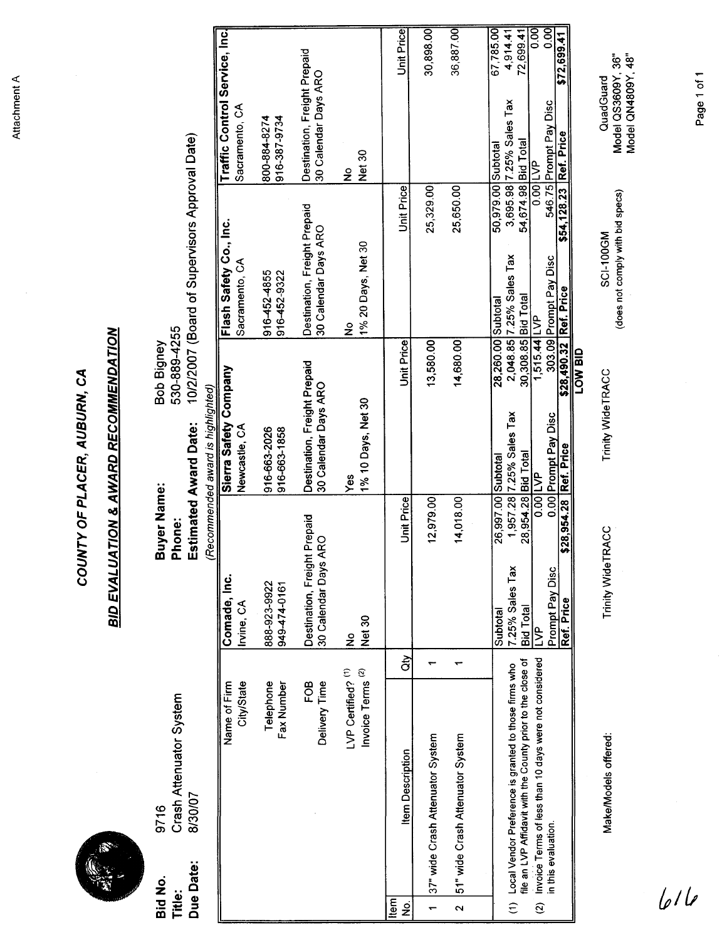Attachment A

# **Due Date:** 8130107

# **bid d** No. Item Description

| A.        |                       |
|-----------|-----------------------|
| Bid No.   | 9716                  |
| Title:    | <b>Crash Attenuat</b> |
| Due Date: | 8/30/07               |

|                          |                      |                                                                                                                       |                                                                           | COUNTY OF PLACER, AUBURN, CA                                |                                                      |                                                                              |                |
|--------------------------|----------------------|-----------------------------------------------------------------------------------------------------------------------|---------------------------------------------------------------------------|-------------------------------------------------------------|------------------------------------------------------|------------------------------------------------------------------------------|----------------|
|                          |                      |                                                                                                                       | <b>BID EVALU</b>                                                          | <b>ATION &amp; AWARD RECOMMENDATION</b>                     |                                                      |                                                                              |                |
| Title:                   | Due Date:<br>Bid No. | Crash Attenuator System<br>8/30/07<br>9716                                                                            | Buyer Name:<br>Phone                                                      | 530-889-4255<br>Bob Bigney<br><b>Estimated Award Date:</b>  | 10/2/2007 (Board of Supervisors Approval Date)       |                                                                              |                |
|                          |                      | Name of Firm                                                                                                          | Comade, Inc.                                                              | Sierra Safety Company<br>(Recommended award is highlighted) | Flash Safety Co., Inc.                               | Traffic Control Service, Inc.                                                |                |
|                          |                      | City/State                                                                                                            | Irvine, CA                                                                | Newcastle, CA                                               | Sacramento, CA                                       | Sacramento, CA                                                               |                |
|                          |                      | Telephone<br>Fax Number                                                                                               | 888-923-9922<br>949-474-0161                                              | 916-663-2026<br>916-663-1858                                | 916-452-4855<br>916-452-9322                         | 800-884-8274<br>916-387-9734                                                 |                |
|                          |                      | Delivery Time<br>FOB                                                                                                  | Destination, Freight Prepaid<br>30 Calendar Days ARO                      | Destination, Freight Prepaid<br>30 Calendar Days ARO        | Destination, Freight Prepaid<br>30 Calendar Days ARO | Destination, Freight Prepaid<br>30 Calendar Days ARO                         |                |
|                          |                      | Invoice Terms <sup>(2)</sup><br>LVP Certified? (1)                                                                    | Net 30<br>ş                                                               | 1% 10 Days, Net 30<br>Yes                                   | 1% 20 Days, Net 30<br>ş                              | Net 30<br>$\frac{1}{2}$                                                      |                |
| Item<br>$\frac{1}{2}$    |                      | ਰੇਂ<br><b>Item Description</b>                                                                                        | <b>Unit Price</b>                                                         | <b>Unit Price</b>                                           | <b>Unit Price</b>                                    | Unit Price                                                                   |                |
| $\overline{\phantom{0}}$ |                      | 37" wide Crash Attenuator System                                                                                      | 12,979.00                                                                 | 13,580.00                                                   | 25,329.00                                            | 30,898.00                                                                    |                |
| $\sim$                   |                      | ٣<br>51" wide Crash Attenuator System                                                                                 | 14,018.00                                                                 | 14,680.00                                                   | 25,650.00                                            | 36,887.00                                                                    |                |
| $\widehat{\epsilon}$     |                      | Local Vendor Preference is granted to those firms who                                                                 | 26,997.00 Subtotal<br>1,957.28<br>7.25% Sales Tax<br>Subtotal             | 28,260.00 Subtotal<br>2,048.85<br>7.25% Sales Tax           | 50,979.00 Subtotal<br>3,695.98<br>7.25% Sales Tax    | 67,785.00<br>4,914.41<br>7.25% Sales Tax                                     |                |
| $\widehat{\mathfrak{D}}$ |                      | Invoice Terms of less than 10 days were not considered<br>file an LVP Affidavit with the County prior to the close of | 28,954.28 Bid Total<br>Bid Total<br>$\overline{S}$                        | 30,308.85 Bid Total<br>1,515.44                             | 54,674.98 Bid Total<br>$0.00$ LVP<br>$\overline{P}$  | 8<br>00<br>72,699.41                                                         |                |
|                          | in this evaluation.  |                                                                                                                       | \$28,954.28 Ref. Price<br>$\overline{5}$<br>Prompt Pay Disc<br>Ref. Price | \$28,490.32 Ref. Price<br>303.09<br>Prompt Pay Disc         | Prompt Pay Disc                                      | \$72,699.41<br>546.75 Prompt Pay Disc<br><mark>\$54,128.23 Ref. Price</mark> | $\overline{5}$ |
|                          |                      | Make/Models offered:                                                                                                  | Trinity Wide TRACC                                                        | dia MO <sub>1</sub><br>Trinity WideTRACC                    | (does not comply with bid specs)<br>SCI-100GM        | Model QS3609Y, 36"<br>Model QN4809Y, 48"<br>QuadGuard                        |                |
|                          | 616                  |                                                                                                                       |                                                                           |                                                             |                                                      |                                                                              |                |
|                          |                      |                                                                                                                       |                                                                           |                                                             |                                                      | Page 1 of 1                                                                  |                |
|                          |                      |                                                                                                                       |                                                                           |                                                             |                                                      |                                                                              |                |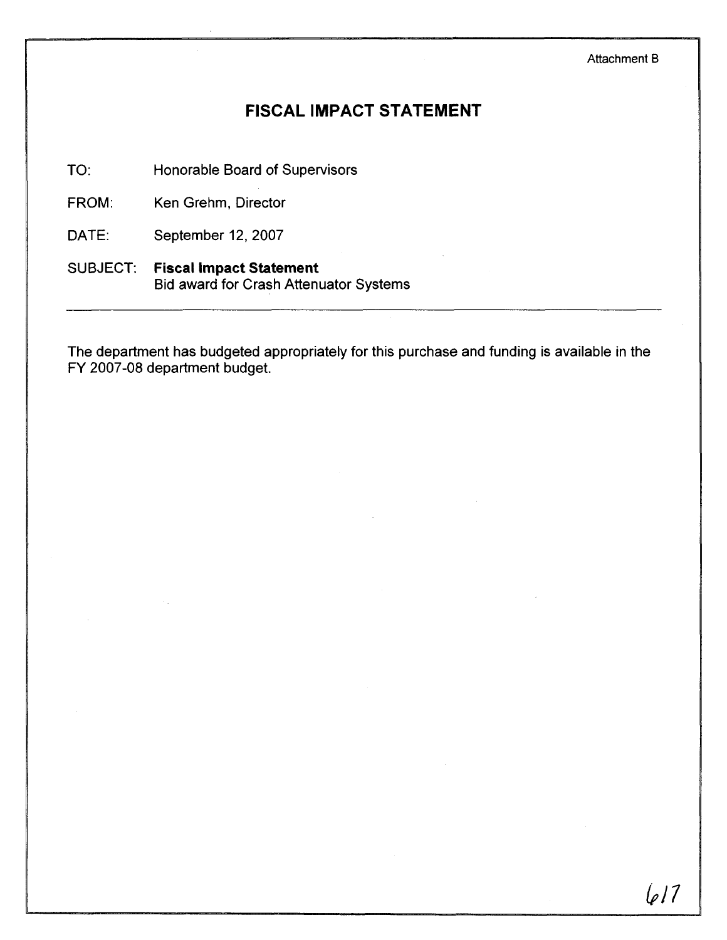# **FISCAL IMPACT STATEMENT**

TO: Honorable Board of Supervisors

FROM: Ken Grehm, Director

DATE: September 12, 2007

SUBJECT: **Fiscal Impact Statement**  Bid award for Crash Attenuator Systems

The department has budgeted appropriately for this purchase and funding is available in the FY 2007-08 department budget.